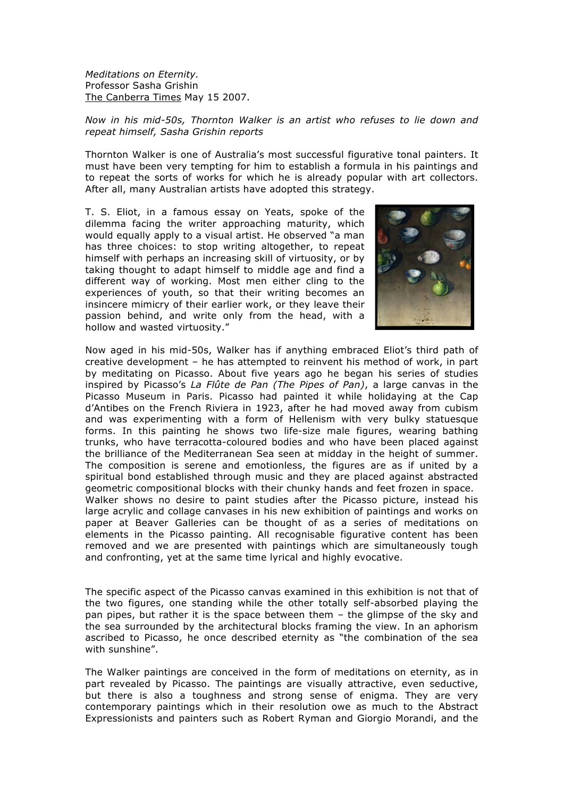*Meditations on Eternity.* Professor Sasha Grishin The Canberra Times May 15 2007.

## *Now in his mid-50s, Thornton Walker is an artist who refuses to lie down and repeat himself, Sasha Grishin reports*

Thornton Walker is one of Australia's most successful figurative tonal painters. It must have been very tempting for him to establish a formula in his paintings and to repeat the sorts of works for which he is already popular with art collectors. After all, many Australian artists have adopted this strategy.

T. S. Eliot, in a famous essay on Yeats, spoke of the dilemma facing the writer approaching maturity, which would equally apply to a visual artist. He observed "a man has three choices: to stop writing altogether, to repeat himself with perhaps an increasing skill of virtuosity, or by taking thought to adapt himself to middle age and find a different way of working. Most men either cling to the experiences of youth, so that their writing becomes an insincere mimicry of their earlier work, or they leave their passion behind, and write only from the head, with a hollow and wasted virtuosity."



Now aged in his mid-50s, Walker has if anything embraced Eliot's third path of creative development – he has attempted to reinvent his method of work, in part by meditating on Picasso. About five years ago he began his series of studies inspired by Picasso's *La Flûte de Pan (The Pipes of Pan)*, a large canvas in the Picasso Museum in Paris. Picasso had painted it while holidaying at the Cap d'Antibes on the French Riviera in 1923, after he had moved away from cubism and was experimenting with a form of Hellenism with very bulky statuesque forms. In this painting he shows two life-size male figures, wearing bathing trunks, who have terracotta-coloured bodies and who have been placed against the brilliance of the Mediterranean Sea seen at midday in the height of summer. The composition is serene and emotionless, the figures are as if united by a spiritual bond established through music and they are placed against abstracted geometric compositional blocks with their chunky hands and feet frozen in space. Walker shows no desire to paint studies after the Picasso picture, instead his large acrylic and collage canvases in his new exhibition of paintings and works on paper at Beaver Galleries can be thought of as a series of meditations on elements in the Picasso painting. All recognisable figurative content has been removed and we are presented with paintings which are simultaneously tough and confronting, yet at the same time lyrical and highly evocative.

The specific aspect of the Picasso canvas examined in this exhibition is not that of the two figures, one standing while the other totally self-absorbed playing the pan pipes, but rather it is the space between them – the glimpse of the sky and the sea surrounded by the architectural blocks framing the view. In an aphorism ascribed to Picasso, he once described eternity as "the combination of the sea with sunshine".

The Walker paintings are conceived in the form of meditations on eternity, as in part revealed by Picasso. The paintings are visually attractive, even seductive, but there is also a toughness and strong sense of enigma. They are very contemporary paintings which in their resolution owe as much to the Abstract Expressionists and painters such as Robert Ryman and Giorgio Morandi, and the